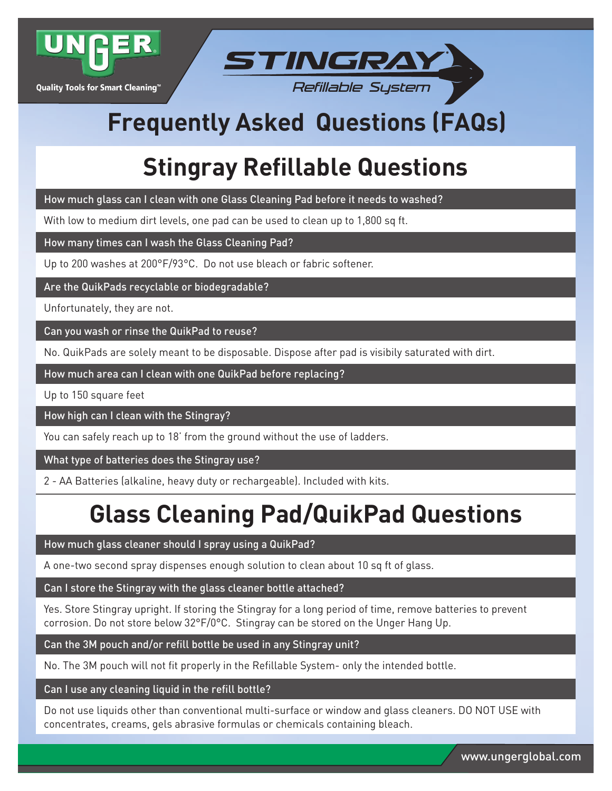

Quality Tools for Smart Cleaning™



# **Freq uently Asked Questions (FAQs)**

## **Stingray Refillable Questions**

How much glass can I clean with one Glass Cleaning Pad before it needs to washed?

With low to medium dirt levels, one pad can be used to clean up to 1,800 sq ft.

How many times can I wash the Glass Cleaning Pad?

Up to 200 washes at 200°F/93°C. Do not use bleach or fabric softener.

Are the QuikPads recyclable or biodegradable?

Unfortunately, they are not.

Can you wash or rinse the QuikPad to reuse?

No. QuikPads are solely meant to be disposable. Dispose after pad is visibily saturated with dirt.

How much area can I clean with one QuikPad before replacing?

Up to 150 square feet

How high can I clean with the Stingray?

You can safely reach up to 18' from the ground without the use of ladders.

What type of batteries does the Stingray use?

2 - AA Batteries (alkaline, heavy duty or rechargeable). Included with kits.

### **Glass Cleaning Pad/QuikPad Questions**

How much glass cleaner should I spray using a QuikPad?

A one-two second spray dispenses enough solution to clean about 10 sq ft of glass.

Can I store the Stingray with the glass cleaner bottle attached?

Yes. Store Stingray upright. If storing the Stingray for a long period of time, remove batteries to prevent corrosion. Do not store below 32°F/0°C. Stingray can be stored on the Unger Hang Up.

Can the 3M pouch and/or refill bottle be used in any Stingray unit?

No. The 3M pouch will not fit properly in the Refillable System- only the intended bottle.

Can I use any cleaning liquid in the refill bottle?

Do not use liquids other than conventional multi-surface or window and glass cleaners. DO NOT USE with concentrates, creams, gels abrasive formulas or chemicals containing bleach.